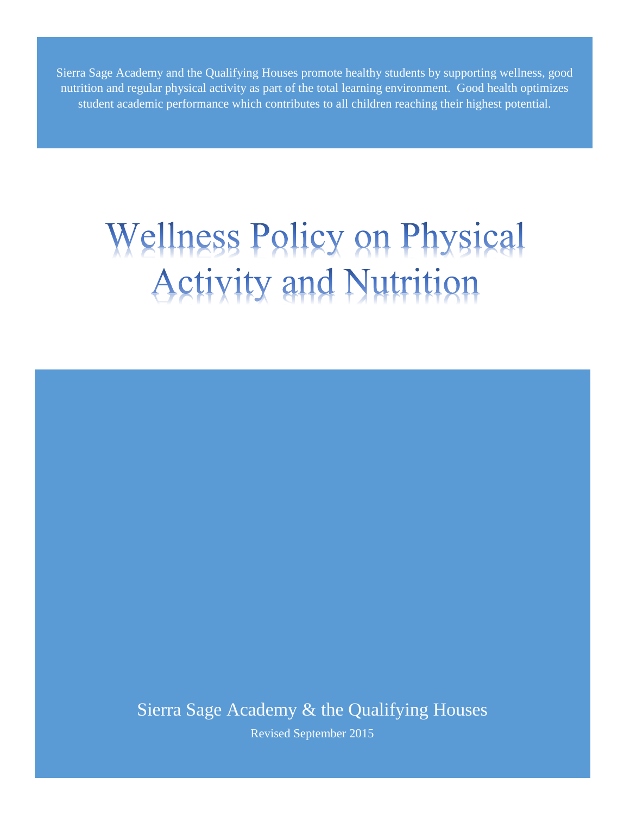Sierra Sage Academy and the Qualifying Houses promote healthy students by supporting wellness, good nutrition and regular physical activity as part of the total learning environment. Good health optimizes student academic performance which contributes to all children reaching their highest potential.

# **Wellness Policy on Physical Activity and Nutrition**

Sierra Sage Academy & the Qualifying Houses

Revised September 2015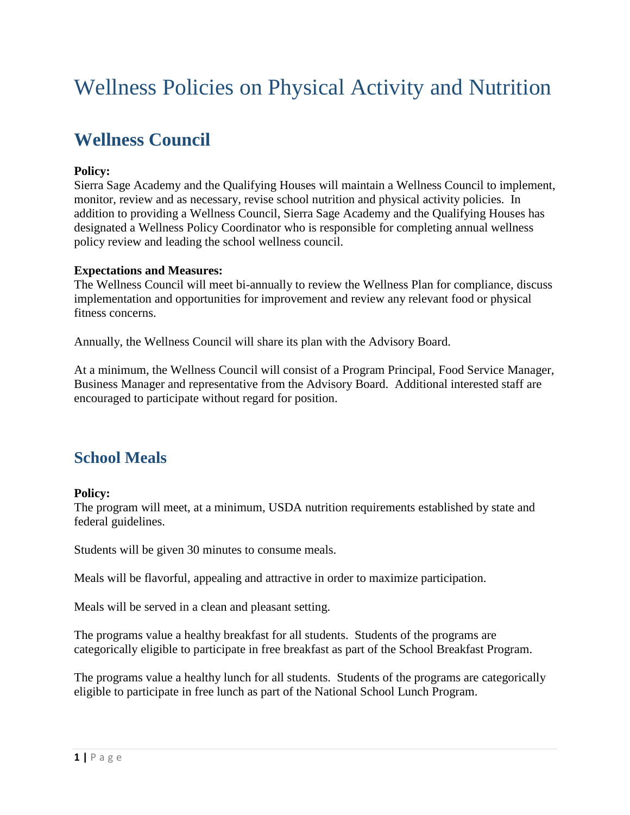# Wellness Policies on Physical Activity and Nutrition

## **Wellness Council**

#### **Policy:**

Sierra Sage Academy and the Qualifying Houses will maintain a Wellness Council to implement, monitor, review and as necessary, revise school nutrition and physical activity policies. In addition to providing a Wellness Council, Sierra Sage Academy and the Qualifying Houses has designated a Wellness Policy Coordinator who is responsible for completing annual wellness policy review and leading the school wellness council.

#### **Expectations and Measures:**

The Wellness Council will meet bi-annually to review the Wellness Plan for compliance, discuss implementation and opportunities for improvement and review any relevant food or physical fitness concerns.

Annually, the Wellness Council will share its plan with the Advisory Board.

At a minimum, the Wellness Council will consist of a Program Principal, Food Service Manager, Business Manager and representative from the Advisory Board. Additional interested staff are encouraged to participate without regard for position.

### **School Meals**

#### **Policy:**

The program will meet, at a minimum, USDA nutrition requirements established by state and federal guidelines.

Students will be given 30 minutes to consume meals.

Meals will be flavorful, appealing and attractive in order to maximize participation.

Meals will be served in a clean and pleasant setting.

The programs value a healthy breakfast for all students. Students of the programs are categorically eligible to participate in free breakfast as part of the School Breakfast Program.

The programs value a healthy lunch for all students. Students of the programs are categorically eligible to participate in free lunch as part of the National School Lunch Program.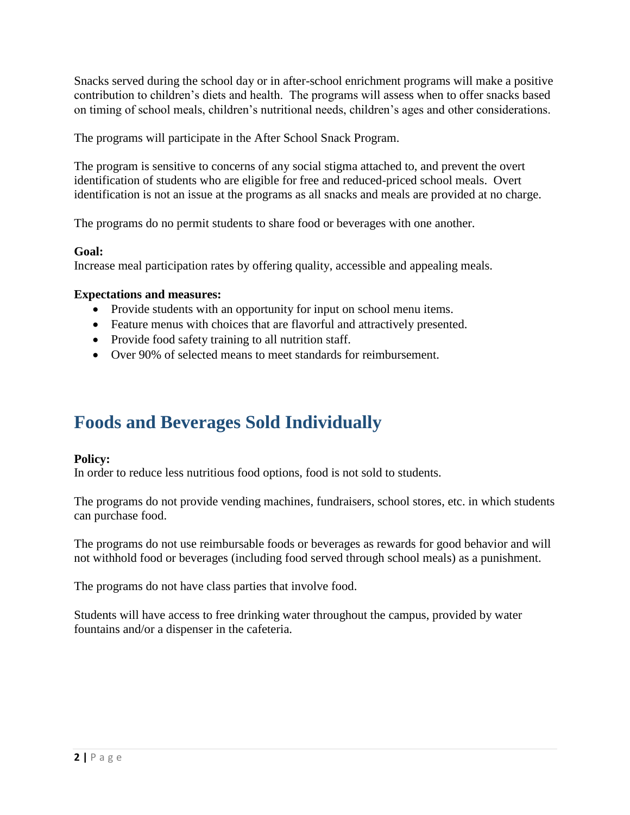Snacks served during the school day or in after-school enrichment programs will make a positive contribution to children's diets and health. The programs will assess when to offer snacks based on timing of school meals, children's nutritional needs, children's ages and other considerations.

The programs will participate in the After School Snack Program.

The program is sensitive to concerns of any social stigma attached to, and prevent the overt identification of students who are eligible for free and reduced-priced school meals. Overt identification is not an issue at the programs as all snacks and meals are provided at no charge.

The programs do no permit students to share food or beverages with one another.

#### **Goal:**

Increase meal participation rates by offering quality, accessible and appealing meals.

#### **Expectations and measures:**

- Provide students with an opportunity for input on school menu items.
- Feature menus with choices that are flavorful and attractively presented.
- Provide food safety training to all nutrition staff.
- Over 90% of selected means to meet standards for reimbursement.

## **Foods and Beverages Sold Individually**

#### **Policy:**

In order to reduce less nutritious food options, food is not sold to students.

The programs do not provide vending machines, fundraisers, school stores, etc. in which students can purchase food.

The programs do not use reimbursable foods or beverages as rewards for good behavior and will not withhold food or beverages (including food served through school meals) as a punishment.

The programs do not have class parties that involve food.

Students will have access to free drinking water throughout the campus, provided by water fountains and/or a dispenser in the cafeteria.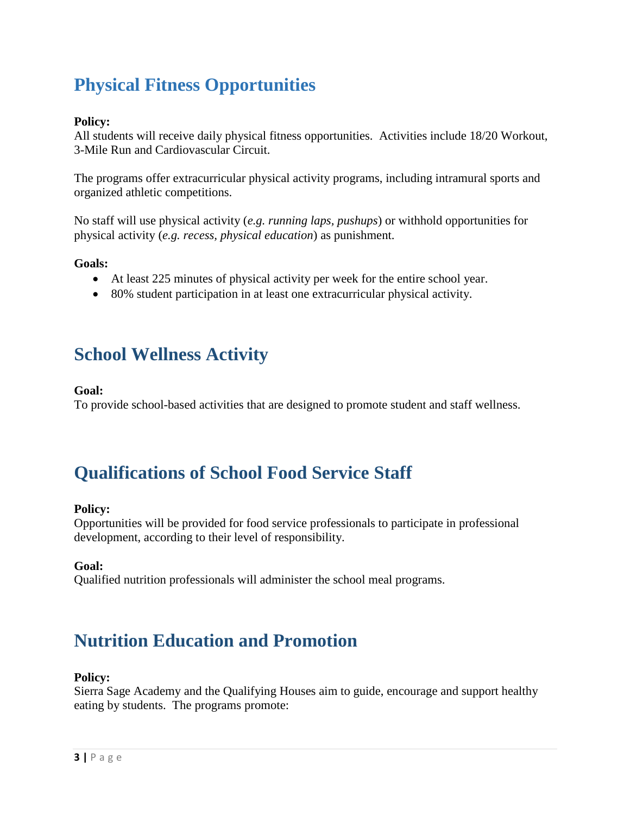## **Physical Fitness Opportunities**

#### **Policy:**

All students will receive daily physical fitness opportunities. Activities include 18/20 Workout, 3-Mile Run and Cardiovascular Circuit.

The programs offer extracurricular physical activity programs, including intramural sports and organized athletic competitions.

No staff will use physical activity (*e.g. running laps, pushups*) or withhold opportunities for physical activity (*e.g. recess, physical education*) as punishment.

**Goals:**

- At least 225 minutes of physical activity per week for the entire school year.
- 80% student participation in at least one extracurricular physical activity.

## **School Wellness Activity**

#### **Goal:**

To provide school-based activities that are designed to promote student and staff wellness.

## **Qualifications of School Food Service Staff**

#### **Policy:**

Opportunities will be provided for food service professionals to participate in professional development, according to their level of responsibility.

#### **Goal:**

Qualified nutrition professionals will administer the school meal programs.

## **Nutrition Education and Promotion**

#### **Policy:**

Sierra Sage Academy and the Qualifying Houses aim to guide, encourage and support healthy eating by students. The programs promote: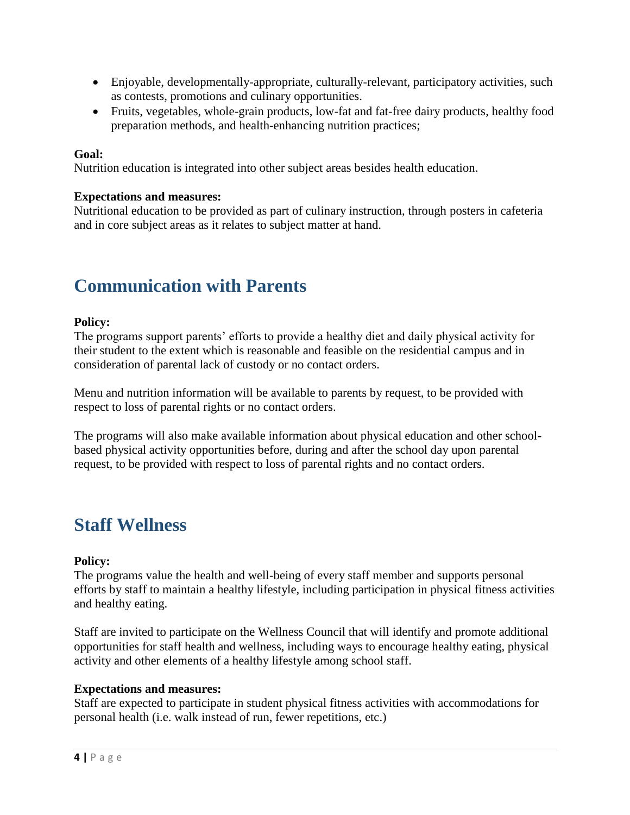- Enjoyable, developmentally-appropriate, culturally-relevant, participatory activities, such as contests, promotions and culinary opportunities.
- Fruits, vegetables, whole-grain products, low-fat and fat-free dairy products, healthy food preparation methods, and health-enhancing nutrition practices;

#### **Goal:**

Nutrition education is integrated into other subject areas besides health education.

#### **Expectations and measures:**

Nutritional education to be provided as part of culinary instruction, through posters in cafeteria and in core subject areas as it relates to subject matter at hand.

## **Communication with Parents**

#### **Policy:**

The programs support parents' efforts to provide a healthy diet and daily physical activity for their student to the extent which is reasonable and feasible on the residential campus and in consideration of parental lack of custody or no contact orders.

Menu and nutrition information will be available to parents by request, to be provided with respect to loss of parental rights or no contact orders.

The programs will also make available information about physical education and other schoolbased physical activity opportunities before, during and after the school day upon parental request, to be provided with respect to loss of parental rights and no contact orders.

## **Staff Wellness**

#### **Policy:**

The programs value the health and well-being of every staff member and supports personal efforts by staff to maintain a healthy lifestyle, including participation in physical fitness activities and healthy eating.

Staff are invited to participate on the Wellness Council that will identify and promote additional opportunities for staff health and wellness, including ways to encourage healthy eating, physical activity and other elements of a healthy lifestyle among school staff.

#### **Expectations and measures:**

Staff are expected to participate in student physical fitness activities with accommodations for personal health (i.e. walk instead of run, fewer repetitions, etc.)